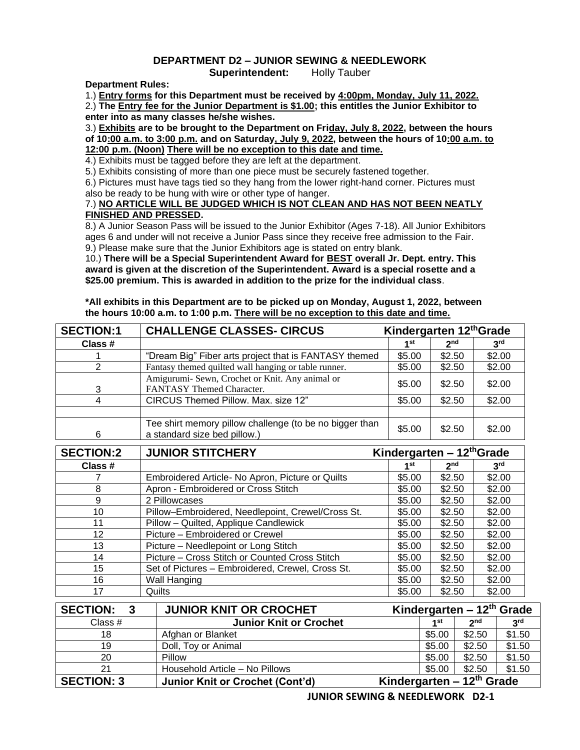## **DEPARTMENT D2 – JUNIOR SEWING & NEEDLEWORK**

**Superintendent:** Holly Tauber

**Department Rules:**

1.) **Entry forms for this Department must be received by 4:00pm, Monday, July 11, 2022.**

2.) **The Entry fee for the Junior Department is \$1.00; this entitles the Junior Exhibitor to enter into as many classes he/she wishes.**

3.) **Exhibits are to be brought to the Department on Friday, July 8, 2022, between the hours of 10:00 a.m. to 3:00 p.m. and on Saturday, July 9, 2022, between the hours of 10:00 a.m. to 12:00 p.m. (Noon) There will be no exception to this date and time.**

4.) Exhibits must be tagged before they are left at the department.

5.) Exhibits consisting of more than one piece must be securely fastened together.

6.) Pictures must have tags tied so they hang from the lower right-hand corner. Pictures must also be ready to be hung with wire or other type of hanger.

## 7.) **NO ARTICLE WILL BE JUDGED WHICH IS NOT CLEAN AND HAS NOT BEEN NEATLY FINISHED AND PRESSED.**

8.) A Junior Season Pass will be issued to the Junior Exhibitor (Ages 7-18). All Junior Exhibitors ages 6 and under will not receive a Junior Pass since they receive free admission to the Fair. 9.) Please make sure that the Junior Exhibitors age is stated on entry blank.

10.) **There will be a Special Superintendent Award for BEST overall Jr. Dept. entry. This award is given at the discretion of the Superintendent. Award is a special rosette and a \$25.00 premium. This is awarded in addition to the prize for the individual class**.

**\*All exhibits in this Department are to be picked up on Monday, August 1, 2022, between the hours 10:00 a.m. to 1:00 p.m. There will be no exception to this date and time.**

| <b>SECTION:1</b>      | <b>CHALLENGE CLASSES- CIRCUS</b>                                                                                   |                 | Kindergarten 12th Grade |                                           |                 |  |
|-----------------------|--------------------------------------------------------------------------------------------------------------------|-----------------|-------------------------|-------------------------------------------|-----------------|--|
| Class #               |                                                                                                                    | 1 <sup>st</sup> | 2 <sub>nd</sub>         |                                           | 3 <sup>rd</sup> |  |
|                       | "Dream Big" Fiber arts project that is FANTASY themed                                                              | \$5.00          | \$2.50                  |                                           | \$2.00          |  |
| $\overline{2}$        | Fantasy themed quilted wall hanging or table runner.                                                               | \$5.00          | \$2.50                  |                                           | \$2.00          |  |
| 3                     | Amigurumi- Sewn, Crochet or Knit. Any animal or<br>FANTASY Themed Character.                                       | \$5.00          | \$2.50                  |                                           | \$2.00          |  |
| 4                     | CIRCUS Themed Pillow. Max. size 12"                                                                                | \$5.00          | \$2.50                  |                                           | \$2.00          |  |
| 6<br><b>SECTION:2</b> | Tee shirt memory pillow challenge (to be no bigger than<br>a standard size bed pillow.)<br><b>JUNIOR STITCHERY</b> | \$5.00          | \$2.50                  | Kindergarten – 12th Grade                 | \$2.00          |  |
| Class #               |                                                                                                                    | 1 <sup>st</sup> | 2 <sub>nd</sub>         |                                           | 3 <sup>rd</sup> |  |
|                       | Embroidered Article- No Apron, Picture or Quilts                                                                   | \$5.00          | \$2.50                  |                                           | \$2.00          |  |
| 8                     | Apron - Embroidered or Cross Stitch                                                                                | \$5.00          | \$2.50                  |                                           | \$2.00          |  |
| 9                     | 2 Pillowcases                                                                                                      | \$5.00          | \$2.50                  |                                           | \$2.00          |  |
| 10                    | Pillow-Embroidered, Needlepoint, Crewel/Cross St.                                                                  | \$5.00          | \$2.50                  |                                           | \$2.00          |  |
| 11                    | Pillow - Quilted, Applique Candlewick                                                                              | \$5.00          | \$2.50                  |                                           | \$2.00          |  |
| 12                    | Picture - Embroidered or Crewel                                                                                    | \$5.00          | \$2.50                  |                                           | \$2.00          |  |
| 13                    | Picture - Needlepoint or Long Stitch                                                                               | \$5.00          | \$2.50                  |                                           | \$2.00          |  |
| 14                    | Picture - Cross Stitch or Counted Cross Stitch                                                                     | \$5.00          | \$2.50                  |                                           | \$2.00          |  |
| 15                    | Set of Pictures - Embroidered, Crewel, Cross St.                                                                   | \$5.00          | \$2.50                  |                                           | \$2.00          |  |
| 16                    | Wall Hanging                                                                                                       | \$5.00          | \$2.50                  |                                           | \$2.00          |  |
| 17                    | Quilts                                                                                                             | \$5.00          | \$2.50                  |                                           | \$2.00          |  |
| <b>SECTION:</b><br>3  | <b>JUNIOR KNIT OR CROCHET</b>                                                                                      |                 |                         | Kindergarten – 12th Grade                 |                 |  |
| Class #               | <b>Junior Knit or Crochet</b>                                                                                      |                 | 1 <sup>st</sup>         | 2 <sup>nd</sup>                           | 3 <sup>rd</sup> |  |
|                       | $\sim$ $\sim$ $\sim$<br>$\sim$ $\sim$ $\sim$                                                                       |                 |                         | $\sim$ $\sim$ $\sim$ $\sim$ $\sim$ $\sim$ | $\frac{1}{2}$   |  |

| Class #           | <b>Junior Knit or Crochet</b>          | 4 St                      | <b>ງ</b> nd | 2rd    |
|-------------------|----------------------------------------|---------------------------|-------------|--------|
| 18                | Afghan or Blanket                      | \$5.00                    | \$2.50      | \$1.50 |
| 19                | Doll, Toy or Animal                    | \$5.00                    | \$2.50      | \$1.50 |
| 20                | Pillow                                 | \$5.00                    | \$2.50      | \$1.50 |
|                   | Household Article - No Pillows         | \$5.00                    | \$2.50      | \$1.50 |
| <b>SECTION: 3</b> | <b>Junior Knit or Crochet (Cont'd)</b> | Kindergarten – 12th Grade |             |        |

**JUNIOR SEWING & NEEDLEWORK D2-1**